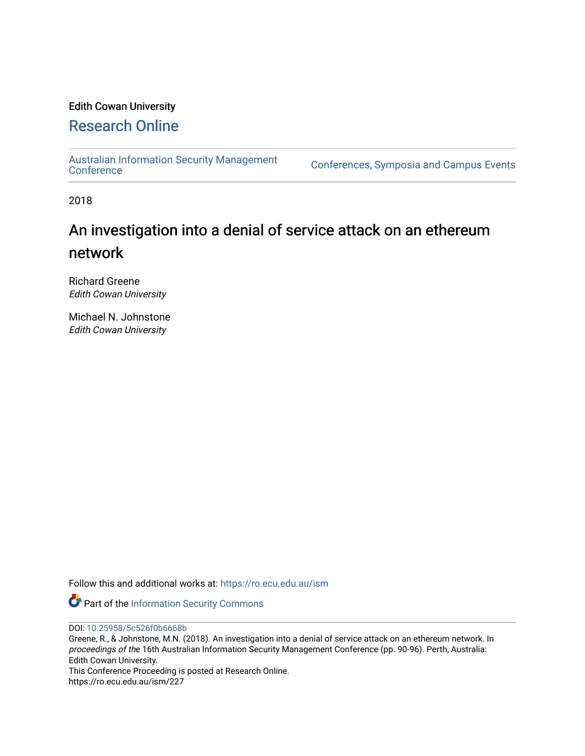## Edith Cowan University

# [Research Online](https://ro.ecu.edu.au/)

[Australian Information Security Management](https://ro.ecu.edu.au/ism) 

[Conference](https://ro.ecu.edu.au/ism)s, Symposia and Campus Events

2018

# An investigation into a denial of service attack on an ethereum network

Richard Greene Edith Cowan University

Michael N. Johnstone Edith Cowan University

Follow this and additional works at: [https://ro.ecu.edu.au/ism](https://ro.ecu.edu.au/ism?utm_source=ro.ecu.edu.au%2Fism%2F227&utm_medium=PDF&utm_campaign=PDFCoverPages) 

Part of the [Information Security Commons](http://network.bepress.com/hgg/discipline/1247?utm_source=ro.ecu.edu.au%2Fism%2F227&utm_medium=PDF&utm_campaign=PDFCoverPages) 

DOI: [10.25958/5c526f0b6668b](https://doi.org/10.25958/5c526f0b6668b) 

Greene, R., & Johnstone, M.N. (2018). An investigation into a denial of service attack on an ethereum network. In proceedings of the 16th Australian Information Security Management Conference (pp. 90-96). Perth, Australia: Edith Cowan University.

This Conference Proceeding is posted at Research Online. https://ro.ecu.edu.au/ism/227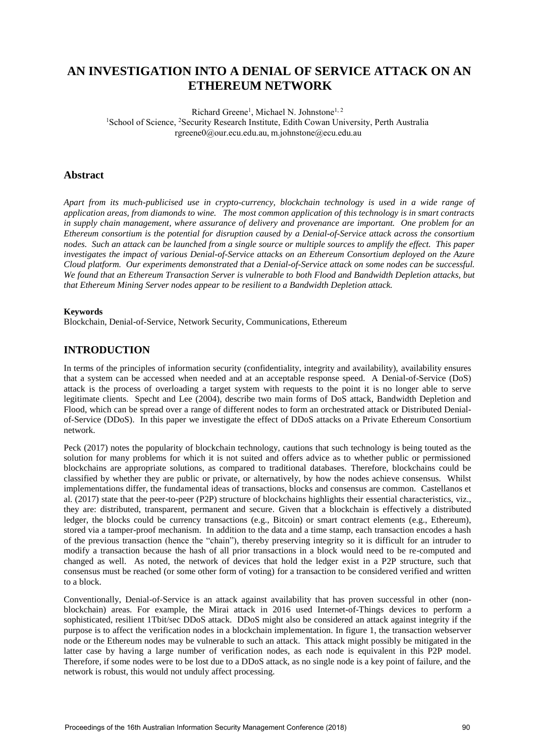## **AN INVESTIGATION INTO A DENIAL OF SERVICE ATTACK ON AN ETHEREUM NETWORK**

Richard Greene<sup>1</sup>, Michael N. Johnstone<sup>1, 2</sup> <sup>1</sup>School of Science, <sup>2</sup>Security Research Institute, Edith Cowan University, Perth Australia rgreene0@our.ecu.edu.au, m.johnstone@ecu.edu.au

## **Abstract**

*Apart from its much-publicised use in crypto-currency, blockchain technology is used in a wide range of application areas, from diamonds to wine. The most common application of this technology is in smart contracts in supply chain management, where assurance of delivery and provenance are important. One problem for an Ethereum consortium is the potential for disruption caused by a Denial-of-Service attack across the consortium nodes. Such an attack can be launched from a single source or multiple sources to amplify the effect. This paper investigates the impact of various Denial-of-Service attacks on an Ethereum Consortium deployed on the Azure Cloud platform. Our experiments demonstrated that a Denial-of-Service attack on some nodes can be successful. We found that an Ethereum Transaction Server is vulnerable to both Flood and Bandwidth Depletion attacks, but that Ethereum Mining Server nodes appear to be resilient to a Bandwidth Depletion attack.* 

#### **Keywords**

Blockchain, Denial-of-Service, Network Security, Communications, Ethereum

## **INTRODUCTION**

In terms of the principles of information security (confidentiality, integrity and availability), availability ensures that a system can be accessed when needed and at an acceptable response speed. A Denial-of-Service (DoS) attack is the process of overloading a target system with requests to the point it is no longer able to serve legitimate clients. Specht and Lee (2004), describe two main forms of DoS attack, Bandwidth Depletion and Flood, which can be spread over a range of different nodes to form an orchestrated attack or Distributed Denialof-Service (DDoS). In this paper we investigate the effect of DDoS attacks on a Private Ethereum Consortium network.

Peck (2017) notes the popularity of blockchain technology, cautions that such technology is being touted as the solution for many problems for which it is not suited and offers advice as to whether public or permissioned blockchains are appropriate solutions, as compared to traditional databases. Therefore, blockchains could be classified by whether they are public or private, or alternatively, by how the nodes achieve consensus. Whilst implementations differ, the fundamental ideas of transactions, blocks and consensus are common. Castellanos et al. (2017) state that the peer-to-peer (P2P) structure of blockchains highlights their essential characteristics, viz., they are: distributed, transparent, permanent and secure. Given that a blockchain is effectively a distributed ledger, the blocks could be currency transactions (e.g., Bitcoin) or smart contract elements (e.g., Ethereum), stored via a tamper-proof mechanism. In addition to the data and a time stamp, each transaction encodes a hash of the previous transaction (hence the "chain"), thereby preserving integrity so it is difficult for an intruder to modify a transaction because the hash of all prior transactions in a block would need to be re-computed and changed as well. As noted, the network of devices that hold the ledger exist in a P2P structure, such that consensus must be reached (or some other form of voting) for a transaction to be considered verified and written to a block.

Conventionally, Denial-of-Service is an attack against availability that has proven successful in other (nonblockchain) areas. For example, the Mirai attack in 2016 used Internet-of-Things devices to perform a sophisticated, resilient 1Tbit/sec DDoS attack. DDoS might also be considered an attack against integrity if the purpose is to affect the verification nodes in a blockchain implementation. In figure 1, the transaction webserver node or the Ethereum nodes may be vulnerable to such an attack. This attack might possibly be mitigated in the latter case by having a large number of verification nodes, as each node is equivalent in this P2P model. Therefore, if some nodes were to be lost due to a DDoS attack, as no single node is a key point of failure, and the network is robust, this would not unduly affect processing.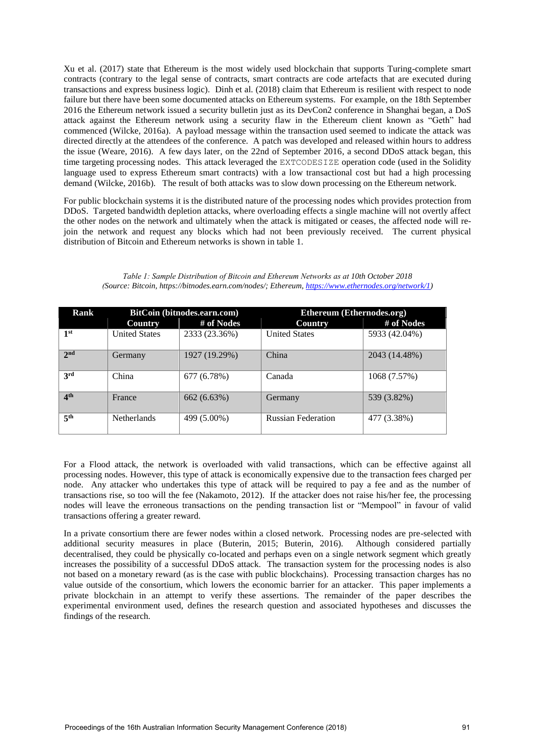Xu et al. (2017) state that Ethereum is the most widely used blockchain that supports Turing-complete smart contracts (contrary to the legal sense of contracts, smart contracts are code artefacts that are executed during transactions and express business logic). Dinh et al. (2018) claim that Ethereum is resilient with respect to node failure but there have been some documented attacks on Ethereum systems. For example, on the 18th September 2016 the Ethereum network issued a security bulletin just as its DevCon2 conference in Shanghai began, a DoS attack against the Ethereum network using a security flaw in the Ethereum client known as "Geth" had commenced (Wilcke, 2016a). A payload message within the transaction used seemed to indicate the attack was directed directly at the attendees of the conference. A patch was developed and released within hours to address the issue (Weare, 2016). A few days later, on the 22nd of September 2016, a second DDoS attack began, this time targeting processing nodes. This attack leveraged the EXTCODESIZE operation code (used in the Solidity language used to express Ethereum smart contracts) with a low transactional cost but had a high processing demand (Wilcke, 2016b). The result of both attacks was to slow down processing on the Ethereum network.

For public blockchain systems it is the distributed nature of the processing nodes which provides protection from DDoS. Targeted bandwidth depletion attacks, where overloading effects a single machine will not overtly affect the other nodes on the network and ultimately when the attack is mitigated or ceases, the affected node will rejoin the network and request any blocks which had not been previously received. The current physical distribution of Bitcoin and Ethereum networks is shown in table 1.

| Table 1: Sample Distribution of Bitcoin and Ethereum Networks as at 10th October 2018               |
|-----------------------------------------------------------------------------------------------------|
| (Source: Bitcoin, https://bitnodes.earn.com/nodes/; Ethereum, https://www.ethernodes.org/network/1) |

| Rank            | BitCoin (bitnodes.earn.com) |               | Ethereum (Ethernodes.org) |               |
|-----------------|-----------------------------|---------------|---------------------------|---------------|
|                 | Country                     | # of Nodes    | Country                   | # of Nodes    |
| 1st             | <b>United States</b>        | 2333 (23.36%) | <b>United States</b>      | 5933 (42.04%) |
| 2 <sub>nd</sub> | Germany                     | 1927 (19.29%) | China                     | 2043 (14.48%) |
| 3rd             | China                       | 677 (6.78%)   | Canada                    | 1068 (7.57%)  |
| 4 <sup>th</sup> | France                      | 662 (6.63%)   | Germany                   | 539 (3.82%)   |
| 5 <sup>th</sup> | <b>Netherlands</b>          | 499 (5.00%)   | <b>Russian Federation</b> | 477 (3.38%)   |

For a Flood attack, the network is overloaded with valid transactions, which can be effective against all processing nodes. However, this type of attack is economically expensive due to the transaction fees charged per node. Any attacker who undertakes this type of attack will be required to pay a fee and as the number of transactions rise, so too will the fee (Nakamoto, 2012). If the attacker does not raise his/her fee, the processing nodes will leave the erroneous transactions on the pending transaction list or "Mempool" in favour of valid transactions offering a greater reward.

In a private consortium there are fewer nodes within a closed network. Processing nodes are pre-selected with additional security measures in place (Buterin, 2015; Buterin, 2016). Although considered partially decentralised, they could be physically co-located and perhaps even on a single network segment which greatly increases the possibility of a successful DDoS attack. The transaction system for the processing nodes is also not based on a monetary reward (as is the case with public blockchains). Processing transaction charges has no value outside of the consortium, which lowers the economic barrier for an attacker. This paper implements a private blockchain in an attempt to verify these assertions. The remainder of the paper describes the experimental environment used, defines the research question and associated hypotheses and discusses the findings of the research.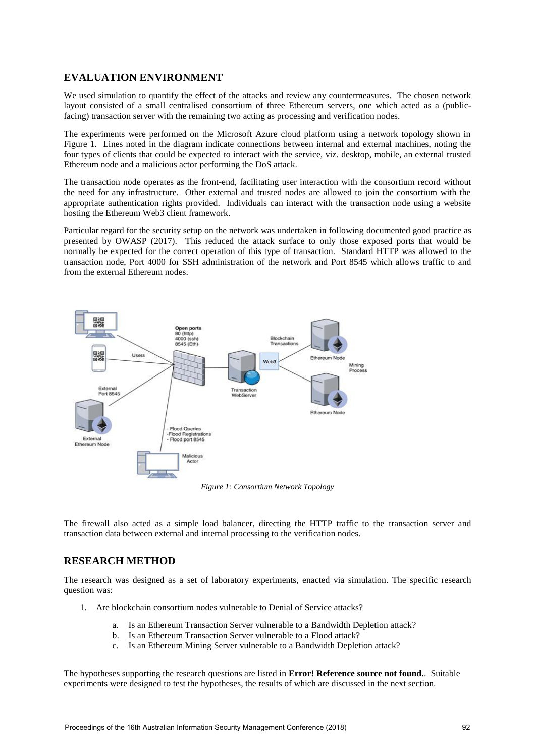## **EVALUATION ENVIRONMENT**

We used simulation to quantify the effect of the attacks and review any countermeasures. The chosen network layout consisted of a small centralised consortium of three Ethereum servers, one which acted as a (publicfacing) transaction server with the remaining two acting as processing and verification nodes.

The experiments were performed on the Microsoft Azure cloud platform using a network topology shown in Figure 1. Lines noted in the diagram indicate connections between internal and external machines, noting the four types of clients that could be expected to interact with the service, viz. desktop, mobile, an external trusted Ethereum node and a malicious actor performing the DoS attack.

The transaction node operates as the front-end, facilitating user interaction with the consortium record without the need for any infrastructure. Other external and trusted nodes are allowed to join the consortium with the appropriate authentication rights provided. Individuals can interact with the transaction node using a website hosting the Ethereum Web3 client framework.

Particular regard for the security setup on the network was undertaken in following documented good practice as presented by OWASP (2017). This reduced the attack surface to only those exposed ports that would be normally be expected for the correct operation of this type of transaction. Standard HTTP was allowed to the transaction node, Port 4000 for SSH administration of the network and Port 8545 which allows traffic to and from the external Ethereum nodes.



*Figure 1: Consortium Network Topology* 

The firewall also acted as a simple load balancer, directing the HTTP traffic to the transaction server and transaction data between external and internal processing to the verification nodes.

## **RESEARCH METHOD**

The research was designed as a set of laboratory experiments, enacted via simulation. The specific research question was:

- 1. Are blockchain consortium nodes vulnerable to Denial of Service attacks?
	- a. Is an Ethereum Transaction Server vulnerable to a Bandwidth Depletion attack?
	- b. Is an Ethereum Transaction Server vulnerable to a Flood attack?
	- c. Is an Ethereum Mining Server vulnerable to a Bandwidth Depletion attack?

The hypotheses supporting the research questions are listed in **Error! Reference source not found.**. Suitable experiments were designed to test the hypotheses, the results of which are discussed in the next section.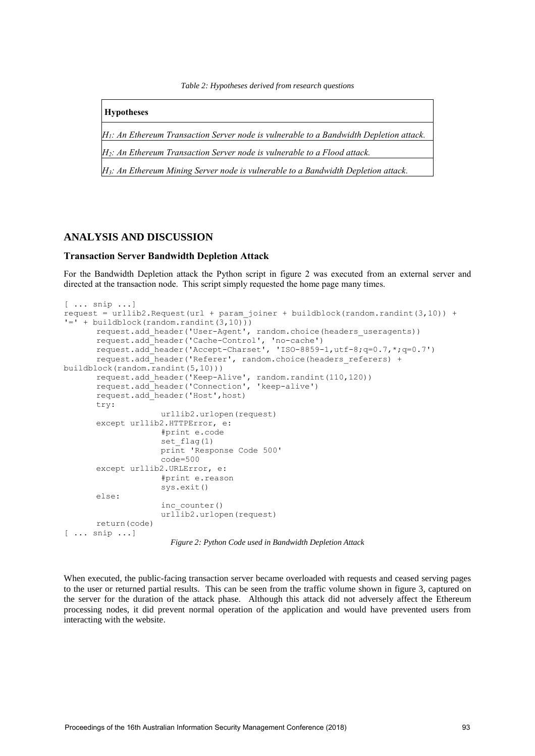*Table 2: Hypotheses derived from research questions* 

**Hypotheses**

*H1: An Ethereum Transaction Server node is vulnerable to a Bandwidth Depletion attack.*

*H2: An Ethereum Transaction Server node is vulnerable to a Flood attack.*

*H3: An Ethereum Mining Server node is vulnerable to a Bandwidth Depletion attack.*

### **ANALYSIS AND DISCUSSION**

#### **Transaction Server Bandwidth Depletion Attack**

For the Bandwidth Depletion attack the Python script in figure 2 was executed from an external server and directed at the transaction node. This script simply requested the home page many times.

```
[ ... snip ...] 
request = urllib2-Request(url + param_joiner + buildblock(randim.randint(3,10)) +!= + buildblock(random.randint(3,10))
        request.add_header('User-Agent', random.choice(headers_useragents)) 
       request.add_header('Cache-Control', 'no-cache') 
 request.add_header('Accept-Charset', 'ISO-8859-1,utf-8;q=0.7,*;q=0.7') 
        request.add_header('Referer', random.choice(headers_referers) + 
buildblock(random.randint(5,10))) 
       request.add_header('Keep-Alive', random.randint(110,120)) 
        request.add_header('Connection', 'keep-alive') 
       request.add_header('Host',host) 
        try: 
                      urllib2.urlopen(request) 
        except urllib2.HTTPError, e: 
                      #print e.code 
                     set flag(1)
                      print 'Response Code 500'
                     code=500 except urllib2.URLError, e: 
                      #print e.reason 
                      sys.exit() 
        else: 
                      inc_counter() 
                     url\overline{1}ib2.urlopen(request)
        return(code) 
[ ... snip ...]
```
*Figure 2: Python Code used in Bandwidth Depletion Attack*

When executed, the public-facing transaction server became overloaded with requests and ceased serving pages to the user or returned partial results. This can be seen from the traffic volume shown in figure 3, captured on the server for the duration of the attack phase. Although this attack did not adversely affect the Ethereum processing nodes, it did prevent normal operation of the application and would have prevented users from interacting with the website.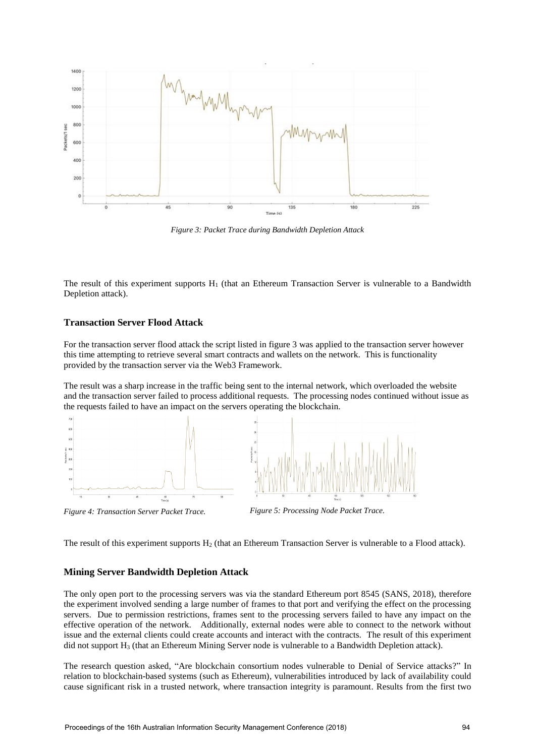

*Figure 3: Packet Trace during Bandwidth Depletion Attack*

The result of this experiment supports  $H_1$  (that an Ethereum Transaction Server is vulnerable to a Bandwidth Depletion attack).

#### **Transaction Server Flood Attack**

For the transaction server flood attack the script listed in figure 3 was applied to the transaction server however this time attempting to retrieve several smart contracts and wallets on the network. This is functionality provided by the transaction server via the Web3 Framework.

The result was a sharp increase in the traffic being sent to the internal network, which overloaded the website and the transaction server failed to process additional requests. The processing nodes continued without issue as the requests failed to have an impact on the servers operating the blockchain.





The result of this experiment supports  $H_2$  (that an Ethereum Transaction Server is vulnerable to a Flood attack).

#### **Mining Server Bandwidth Depletion Attack**

The only open port to the processing servers was via the standard Ethereum port 8545 (SANS, 2018), therefore the experiment involved sending a large number of frames to that port and verifying the effect on the processing servers. Due to permission restrictions, frames sent to the processing servers failed to have any impact on the effective operation of the network. Additionally, external nodes were able to connect to the network without issue and the external clients could create accounts and interact with the contracts. The result of this experiment did not support  $H_3$  (that an Ethereum Mining Server node is vulnerable to a Bandwidth Depletion attack).

The research question asked, "Are blockchain consortium nodes vulnerable to Denial of Service attacks?" In relation to blockchain-based systems (such as Ethereum), vulnerabilities introduced by lack of availability could cause significant risk in a trusted network, where transaction integrity is paramount. Results from the first two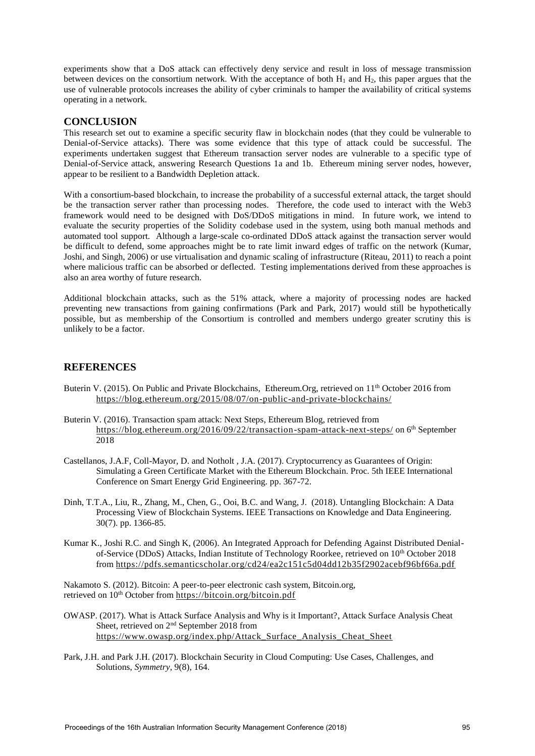experiments show that a DoS attack can effectively deny service and result in loss of message transmission between devices on the consortium network. With the acceptance of both  $H_1$  and  $H_2$ , this paper argues that the use of vulnerable protocols increases the ability of cyber criminals to hamper the availability of critical systems operating in a network.

## **CONCLUSION**

This research set out to examine a specific security flaw in blockchain nodes (that they could be vulnerable to Denial-of-Service attacks). There was some evidence that this type of attack could be successful. The experiments undertaken suggest that Ethereum transaction server nodes are vulnerable to a specific type of Denial-of-Service attack, answering Research Questions 1a and 1b. Ethereum mining server nodes, however, appear to be resilient to a Bandwidth Depletion attack.

With a consortium-based blockchain, to increase the probability of a successful external attack, the target should be the transaction server rather than processing nodes. Therefore, the code used to interact with the Web3 framework would need to be designed with DoS/DDoS mitigations in mind. In future work, we intend to evaluate the security properties of the Solidity codebase used in the system, using both manual methods and automated tool support. Although a large-scale co-ordinated DDoS attack against the transaction server would be difficult to defend, some approaches might be to rate limit inward edges of traffic on the network (Kumar, Joshi, and Singh, 2006) or use virtualisation and dynamic scaling of infrastructure (Riteau, 2011) to reach a point where malicious traffic can be absorbed or deflected. Testing implementations derived from these approaches is also an area worthy of future research.

Additional blockchain attacks, such as the 51% attack, where a majority of processing nodes are hacked preventing new transactions from gaining confirmations (Park and Park, 2017) would still be hypothetically possible, but as membership of the Consortium is controlled and members undergo greater scrutiny this is unlikely to be a factor.

## **REFERENCES**

- Buterin V. (2015). On Public and Private Blockchains, Ethereum.Org, retrieved on 11<sup>th</sup> October 2016 from <https://blog.ethereum.org/2015/08/07/on-public-and-private-blockchains/>
- Buterin V. (2016). Transaction spam attack: Next Steps, Ethereum Blog, retrieved from [https://blog.ethereum.org/2016/09/22/transaction-spam-attack-next-steps/ o](https://blog.ethereum.org/2016/09/22/transaction-spam-attack-next-steps/)n 6<sup>th</sup> September 2018
- Castellanos, J.A.F, Coll-Mayor, D. and Notholt , J.A. (2017). Cryptocurrency as Guarantees of Origin: Simulating a Green Certificate Market with the Ethereum Blockchain. Proc. 5th IEEE International Conference on Smart Energy Grid Engineering. pp. 367-72.
- Dinh, T.T.A., Liu, R., Zhang, M., Chen, G., Ooi, B.C. and Wang, J. (2018). Untangling Blockchain: A Data Processing View of Blockchain Systems. IEEE Transactions on Knowledge and Data Engineering. 30(7). pp. 1366-85.
- Kumar K., Joshi R.C. and Singh K, (2006). An Integrated Approach for Defending Against Distributed Denialof-Service (DDoS) Attacks, Indian Institute of Technology Roorkee, retrieved on 10<sup>th</sup> October 2018 from<https://pdfs.semanticscholar.org/cd24/ea2c151c5d04dd12b35f2902acebf96bf66a.pdf>

Nakamoto S. (2012). Bitcoin: A peer-to-peer electronic cash system, Bitcoin.org, retrieved on 10<sup>th</sup> October fro[m https://bitcoin.org/bitcoin.pdf](https://bitcoin.org/bitcoin.pdf)

- OWASP. (2017). What is Attack Surface Analysis and Why is it Important?, Attack Surface Analysis Cheat Sheet, retrieved on 2<sup>nd</sup> September 2018 from [https://www.owasp.org/index.php/Attack\\_Surface\\_Analysis\\_Cheat\\_Sheet](https://www.owasp.org/index.php/Attack_Surface_Analysis_Cheat_Sheet)
- Park, J.H. and Park J.H. (2017). Blockchain Security in Cloud Computing: Use Cases, Challenges, and Solutions, *Symmetry*, 9(8), 164.